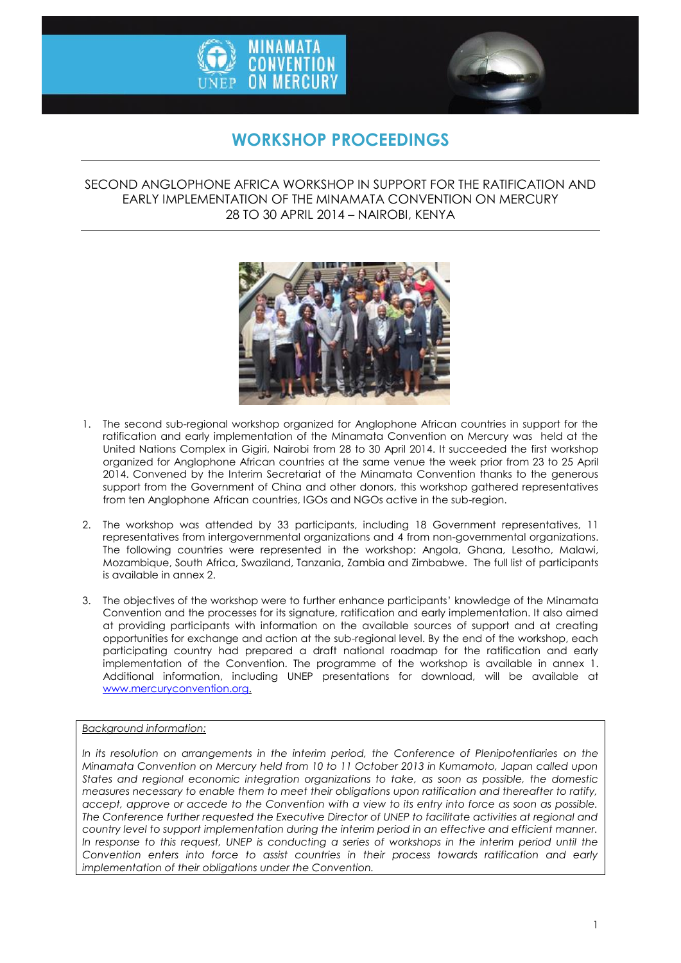



# **WORKSHOP PROCEEDINGS**

## SECOND ANGLOPHONE AFRICA WORKSHOP IN SUPPORT FOR THE RATIFICATION AND EARLY IMPLEMENTATION OF THE MINAMATA CONVENTION ON MERCURY 28 TO 30 APRIL 2014 – NAIROBI, KENYA



- 1. The second sub-regional workshop organized for Anglophone African countries in support for the ratification and early implementation of the Minamata Convention on Mercury was held at the United Nations Complex in Gigiri, Nairobi from 28 to 30 April 2014. It succeeded the first workshop organized for Anglophone African countries at the same venue the week prior from 23 to 25 April 2014. Convened by the Interim Secretariat of the Minamata Convention thanks to the generous support from the Government of China and other donors, this workshop gathered representatives from ten Anglophone African countries, IGOs and NGOs active in the sub-region.
- 2. The workshop was attended by 33 participants, including 18 Government representatives, 11 representatives from intergovernmental organizations and 4 from non-governmental organizations. The following countries were represented in the workshop: Angola, Ghana, Lesotho, Malawi, Mozambique, South Africa, Swaziland, Tanzania, Zambia and Zimbabwe. The full list of participants is available in annex 2.
- 3. The objectives of the workshop were to further enhance participants' knowledge of the Minamata Convention and the processes for its signature, ratification and early implementation. It also aimed at providing participants with information on the available sources of support and at creating opportunities for exchange and action at the sub-regional level. By the end of the workshop, each participating country had prepared a draft national roadmap for the ratification and early implementation of the Convention. The programme of the workshop is available in annex 1. Additional information, including UNEP presentations for download, will be available at [www.mercuryconvention.org.](http://www.mercuryconvention.org/)

#### *Background information:*

In its resolution on arrangements in the interim period, the Conference of Plenipotentiaries on the *Minamata Convention on Mercury held from 10 to 11 October 2013 in Kumamoto, Japan called upon States and regional economic integration organizations to take, as soon as possible, the domestic measures necessary to enable them to meet their obligations upon ratification and thereafter to ratify, accept, approve or accede to the Convention with a view to its entry into force as soon as possible. The Conference further requested the Executive Director of UNEP to facilitate activities at regional and country level to support implementation during the interim period in an effective and efficient manner. In response to this request, UNEP is conducting a series of workshops in the interim period until the Convention enters into force to assist countries in their process towards ratification and early implementation of their obligations under the Convention.*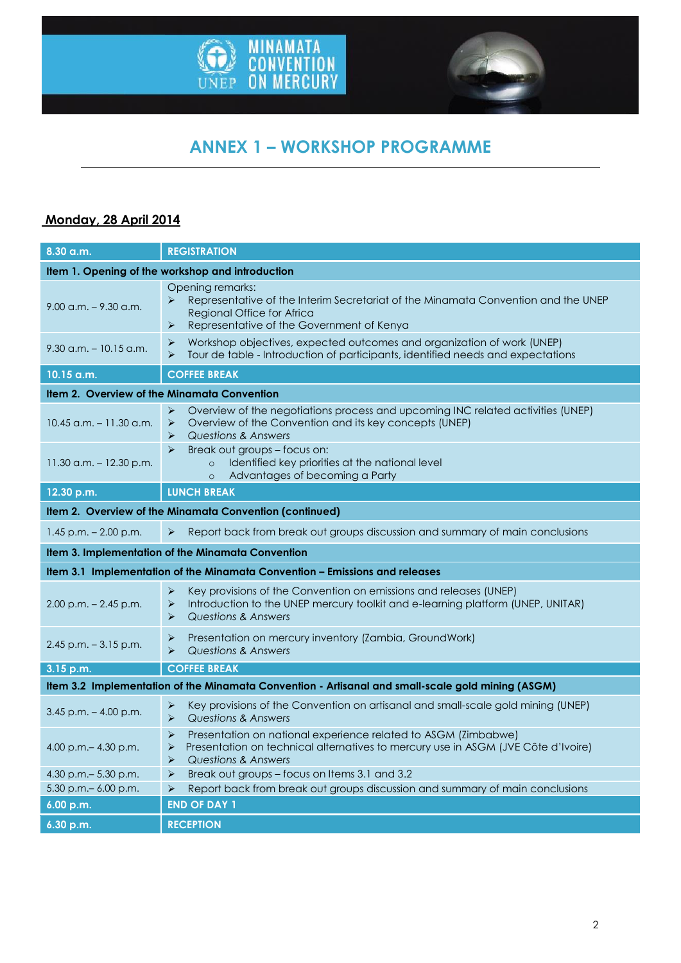



# **ANNEX 1 – WORKSHOP PROGRAMME**

## **Monday, 28 April 2014**

| 8.30 a.m.                                                                                         | <b>REGISTRATION</b>                                                                                                                                                                                                                                               |  |
|---------------------------------------------------------------------------------------------------|-------------------------------------------------------------------------------------------------------------------------------------------------------------------------------------------------------------------------------------------------------------------|--|
| Item 1. Opening of the workshop and introduction                                                  |                                                                                                                                                                                                                                                                   |  |
| $9.00$ a.m. $-9.30$ a.m.                                                                          | Opening remarks:<br>Representative of the Interim Secretariat of the Minamata Convention and the UNEP<br>$\blacktriangleright$<br>Regional Office for Africa<br>Representative of the Government of Kenya<br>➤                                                    |  |
| $9.30$ a.m. $-10.15$ a.m.                                                                         | $\blacktriangleright$<br>Workshop objectives, expected outcomes and organization of work (UNEP)<br>Tour de table - Introduction of participants, identified needs and expectations<br>$\blacktriangleright$                                                       |  |
| 10.15 a.m.                                                                                        | <b>COFFEE BREAK</b>                                                                                                                                                                                                                                               |  |
| Item 2. Overview of the Minamata Convention                                                       |                                                                                                                                                                                                                                                                   |  |
| $10.45$ a.m. $-11.30$ a.m.                                                                        | Overview of the negotiations process and upcoming INC related activities (UNEP)<br>➤<br>Overview of the Convention and its key concepts (UNEP)<br>➤<br><b>Questions &amp; Answers</b><br>$\blacktriangleright$                                                    |  |
| $11.30$ a.m. $-12.30$ p.m.                                                                        | $\blacktriangleright$<br>Break out groups - focus on:<br>Identified key priorities at the national level<br>$\circ$<br>Advantages of becoming a Party<br>$\circ$                                                                                                  |  |
| 12.30 p.m.                                                                                        | <b>LUNCH BREAK</b>                                                                                                                                                                                                                                                |  |
|                                                                                                   | <b>Item 2. Overview of the Minamata Convention (continued)</b>                                                                                                                                                                                                    |  |
| $1.45$ p.m. $- 2.00$ p.m.                                                                         | Report back from break out groups discussion and summary of main conclusions<br>$\blacktriangleright$                                                                                                                                                             |  |
|                                                                                                   | Item 3. Implementation of the Minamata Convention                                                                                                                                                                                                                 |  |
| Item 3.1 Implementation of the Minamata Convention - Emissions and releases                       |                                                                                                                                                                                                                                                                   |  |
| $2.00$ p.m. $- 2.45$ p.m.                                                                         | $\blacktriangleright$<br>Key provisions of the Convention on emissions and releases (UNEP)<br>Introduction to the UNEP mercury toolkit and e-learning platform (UNEP, UNITAR)<br>$\blacktriangleright$<br><b>Questions &amp; Answers</b><br>$\blacktriangleright$ |  |
| $2.45$ p.m. $-3.15$ p.m.                                                                          | Presentation on mercury inventory (Zambia, GroundWork)<br>➤<br>$\blacktriangleright$<br>Questions & Answers                                                                                                                                                       |  |
| 3.15 p.m.                                                                                         | <b>COFFEE BREAK</b>                                                                                                                                                                                                                                               |  |
| Item 3.2 Implementation of the Minamata Convention - Artisanal and small-scale gold mining (ASGM) |                                                                                                                                                                                                                                                                   |  |
| $3.45$ p.m. $-4.00$ p.m.                                                                          | Key provisions of the Convention on artisanal and small-scale gold mining (UNEP)<br>$\blacktriangleright$<br><b>Questions &amp; Answers</b><br>$\blacktriangleright$                                                                                              |  |
| 4.00 p.m. $-$ 4.30 p.m.                                                                           | Presentation on national experience related to ASGM (Zimbabwe)<br>➤<br>Presentation on technical alternatives to mercury use in ASGM (JVE Côte d'Ivoire)<br>➤<br>$\blacktriangleright$<br>Questions & Answers                                                     |  |
| 4.30 p.m. - 5.30 p.m.                                                                             | Break out groups - focus on Items 3.1 and 3.2<br>➤                                                                                                                                                                                                                |  |
| $5.30$ p.m. $-6.00$ p.m.<br>6.00 p.m.                                                             | Report back from break out groups discussion and summary of main conclusions<br>➤<br><b>END OF DAY 1</b>                                                                                                                                                          |  |
|                                                                                                   |                                                                                                                                                                                                                                                                   |  |
| 6.30 p.m.                                                                                         | <b>RECEPTION</b>                                                                                                                                                                                                                                                  |  |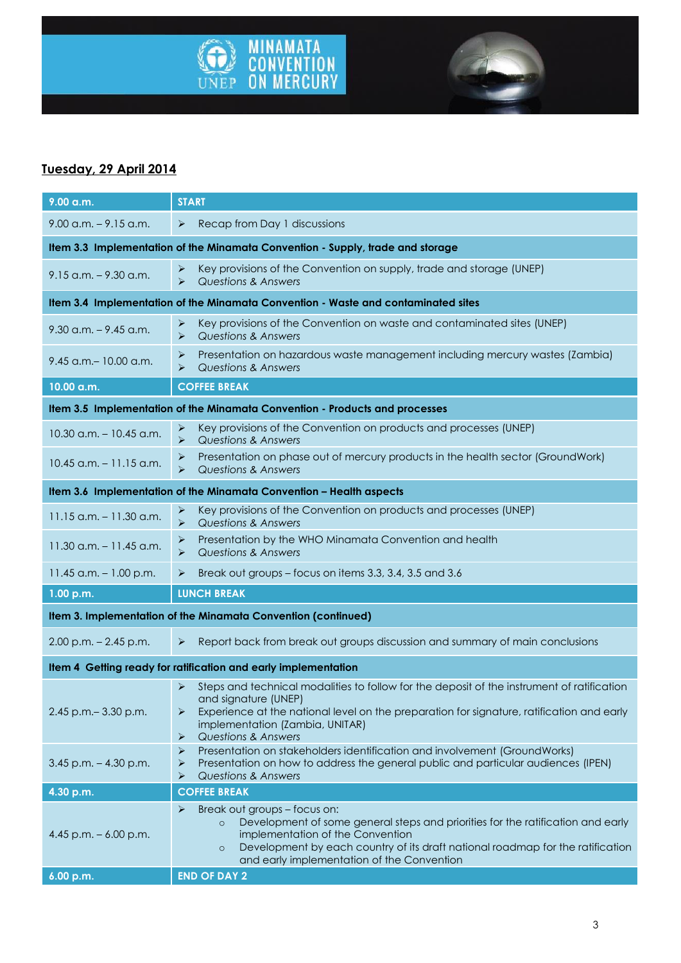



# **Tuesday, 29 April 2014**

| 9.00 a.m.                                                                         | <b>START</b>                                                                                                                                                                                                                                                                                                   |  |
|-----------------------------------------------------------------------------------|----------------------------------------------------------------------------------------------------------------------------------------------------------------------------------------------------------------------------------------------------------------------------------------------------------------|--|
| $9.00$ a.m. $-9.15$ a.m.                                                          | Recap from Day 1 discussions<br>➤                                                                                                                                                                                                                                                                              |  |
| Item 3.3 Implementation of the Minamata Convention - Supply, trade and storage    |                                                                                                                                                                                                                                                                                                                |  |
| $9.15$ a.m. $-9.30$ a.m.                                                          | Key provisions of the Convention on supply, trade and storage (UNEP)<br>➤<br>$\blacktriangleright$<br><b>Questions &amp; Answers</b>                                                                                                                                                                           |  |
| Item 3.4 Implementation of the Minamata Convention - Waste and contaminated sites |                                                                                                                                                                                                                                                                                                                |  |
| $9.30$ a.m. $-9.45$ a.m.                                                          | Key provisions of the Convention on waste and contaminated sites (UNEP)<br>➤<br><b>Questions &amp; Answers</b><br>➤                                                                                                                                                                                            |  |
| $9.45$ a.m. $-10.00$ a.m.                                                         | Presentation on hazardous waste management including mercury wastes (Zambia)<br>➤<br>⋗<br><b>Questions &amp; Answers</b>                                                                                                                                                                                       |  |
| 10.00 a.m.                                                                        | <b>COFFEE BREAK</b>                                                                                                                                                                                                                                                                                            |  |
|                                                                                   | Item 3.5 Implementation of the Minamata Convention - Products and processes                                                                                                                                                                                                                                    |  |
| $10.30$ a.m. $- 10.45$ a.m.                                                       | Key provisions of the Convention on products and processes (UNEP)<br>➤<br>Questions & Answers<br>⋗                                                                                                                                                                                                             |  |
| $10.45$ a.m. $-11.15$ a.m.                                                        | Presentation on phase out of mercury products in the health sector (GroundWork)<br>➤<br>Questions & Answers<br>$\blacktriangleright$                                                                                                                                                                           |  |
| Item 3.6 Implementation of the Minamata Convention - Health aspects               |                                                                                                                                                                                                                                                                                                                |  |
| $11.15$ a.m. $- 11.30$ a.m.                                                       | Key provisions of the Convention on products and processes (UNEP)<br>➤<br><b>Questions &amp; Answers</b><br>$\blacktriangleright$                                                                                                                                                                              |  |
| $11.30$ a.m. $-11.45$ a.m.                                                        | Presentation by the WHO Minamata Convention and health<br>⋗<br>$\blacktriangleright$<br><b>Questions &amp; Answers</b>                                                                                                                                                                                         |  |
| 11.45 $a.m. - 1.00 p.m.$                                                          | Break out groups - focus on items 3.3, 3.4, 3.5 and 3.6<br>➤                                                                                                                                                                                                                                                   |  |
| 1.00 p.m.                                                                         | <b>LUNCH BREAK</b>                                                                                                                                                                                                                                                                                             |  |
| Item 3. Implementation of the Minamata Convention (continued)                     |                                                                                                                                                                                                                                                                                                                |  |
| $2.00$ p.m. $- 2.45$ p.m.                                                         | Report back from break out groups discussion and summary of main conclusions<br>➤                                                                                                                                                                                                                              |  |
| Item 4 Getting ready for ratification and early implementation                    |                                                                                                                                                                                                                                                                                                                |  |
| 2.45 p.m. - 3.30 p.m.                                                             | Steps and technical modalities to follow for the deposit of the instrument of ratification<br>➤<br>and signature (UNEP)<br>Experience at the national level on the preparation for signature, ratification and early<br>➤<br>implementation (Zambia, UNITAR)<br><b>Questions &amp; Answers</b><br>➤            |  |
| $3.45$ p.m. $- 4.30$ p.m.                                                         | Presentation on stakeholders identification and involvement (GroundWorks)<br>⋗<br>Presentation on how to address the general public and particular audiences (IPEN)<br>⋗<br><b>Questions &amp; Answers</b><br>➤                                                                                                |  |
| 4.30 p.m.                                                                         | <b>COFFEE BREAK</b>                                                                                                                                                                                                                                                                                            |  |
| 4.45 p.m. $-6.00$ p.m.                                                            | Break out groups - focus on:<br>➤<br>Development of some general steps and priorities for the ratification and early<br>$\circ$<br>implementation of the Convention<br>Development by each country of its draft national roadmap for the ratification<br>$\circ$<br>and early implementation of the Convention |  |
| 6.00 p.m.                                                                         | <b>END OF DAY 2</b>                                                                                                                                                                                                                                                                                            |  |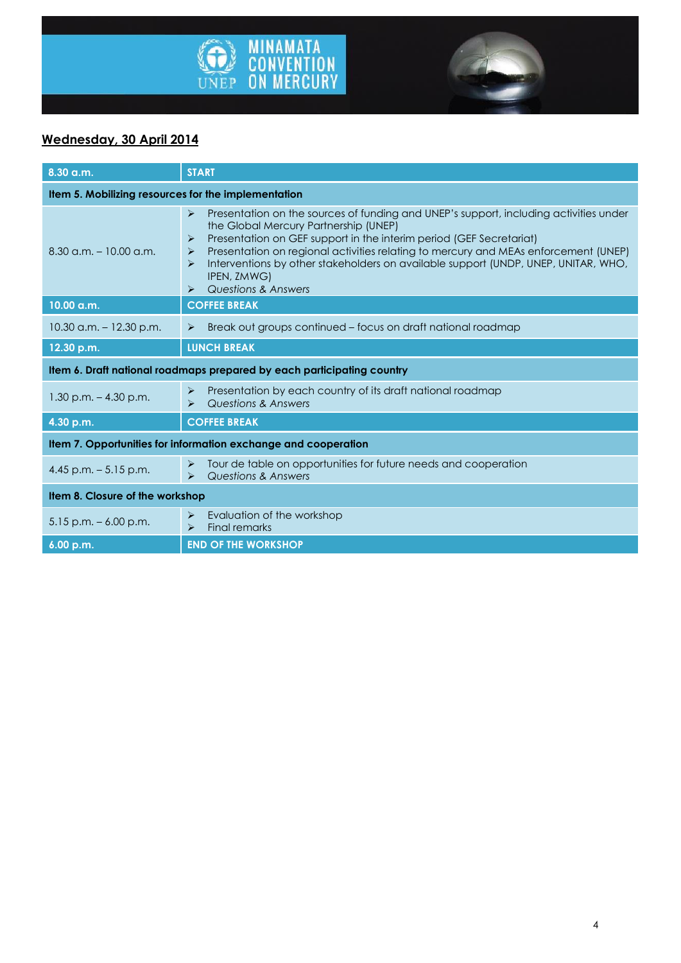



# **Wednesday, 30 April 2014**

| 8.30 a.m.                                                              | <b>START</b>                                                                                                                                                                                                                                                                                                                                                                                                                                                                                                        |  |
|------------------------------------------------------------------------|---------------------------------------------------------------------------------------------------------------------------------------------------------------------------------------------------------------------------------------------------------------------------------------------------------------------------------------------------------------------------------------------------------------------------------------------------------------------------------------------------------------------|--|
| Item 5. Mobilizing resources for the implementation                    |                                                                                                                                                                                                                                                                                                                                                                                                                                                                                                                     |  |
| $8.30$ a.m. $-10.00$ a.m.                                              | Presentation on the sources of funding and UNEP's support, including activities under<br>$\blacktriangleright$<br>the Global Mercury Partnership (UNEP)<br>Presentation on GEF support in the interim period (GEF Secretariat)<br>⋗<br>Presentation on regional activities relating to mercury and MEAs enforcement (UNEP)<br>➤<br>Interventions by other stakeholders on available support (UNDP, UNEP, UNITAR, WHO,<br>$\triangleright$<br>IPEN, ZMWG)<br><b>Questions &amp; Answers</b><br>$\blacktriangleright$ |  |
| 10.00 a.m.                                                             | <b>COFFEE BREAK</b>                                                                                                                                                                                                                                                                                                                                                                                                                                                                                                 |  |
| $10.30$ a.m. $-12.30$ p.m.                                             | Break out groups continued – focus on draft national roadmap<br>$\blacktriangleright$                                                                                                                                                                                                                                                                                                                                                                                                                               |  |
| 12.30 p.m.                                                             | <b>LUNCH BREAK</b>                                                                                                                                                                                                                                                                                                                                                                                                                                                                                                  |  |
| Item 6. Draft national roadmaps prepared by each participating country |                                                                                                                                                                                                                                                                                                                                                                                                                                                                                                                     |  |
| $1.30$ p.m. $- 4.30$ p.m.                                              | Presentation by each country of its draft national roadmap<br>$\blacktriangleright$<br>Questions & Answers<br>$\blacktriangleright$                                                                                                                                                                                                                                                                                                                                                                                 |  |
| 4.30 p.m.                                                              | <b>COFFEE BREAK</b>                                                                                                                                                                                                                                                                                                                                                                                                                                                                                                 |  |
| Item 7. Opportunities for information exchange and cooperation         |                                                                                                                                                                                                                                                                                                                                                                                                                                                                                                                     |  |
| 4.45 p.m. $-5.15$ p.m.                                                 | Tour de table on opportunities for future needs and cooperation<br>➤<br>Questions & Answers<br>$\blacktriangleright$                                                                                                                                                                                                                                                                                                                                                                                                |  |
| Item 8. Closure of the workshop                                        |                                                                                                                                                                                                                                                                                                                                                                                                                                                                                                                     |  |
| $5.15$ p.m. $-6.00$ p.m.                                               | Evaluation of the workshop<br>➤<br><b>Final remarks</b><br>$\blacktriangleright$                                                                                                                                                                                                                                                                                                                                                                                                                                    |  |
| 6.00 p.m.                                                              | <b>END OF THE WORKSHOP</b>                                                                                                                                                                                                                                                                                                                                                                                                                                                                                          |  |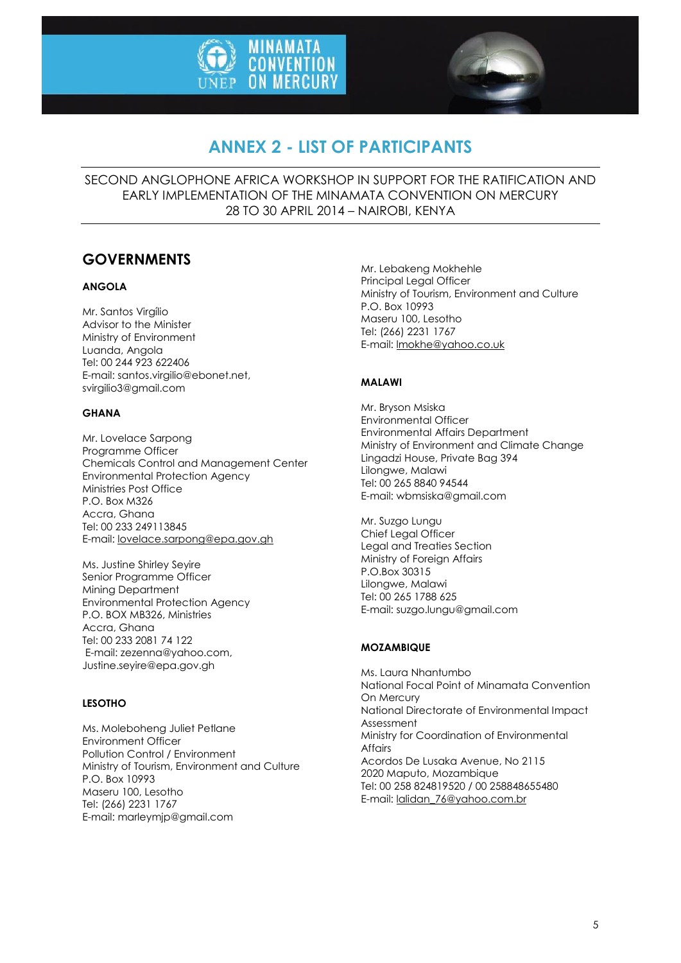



# **ANNEX 2 - LIST OF PARTICIPANTS**

SECOND ANGLOPHONE AFRICA WORKSHOP IN SUPPORT FOR THE RATIFICATION AND EARLY IMPLEMENTATION OF THE MINAMATA CONVENTION ON MERCURY 28 TO 30 APRIL 2014 – NAIROBI, KENYA

# **GOVERNMENTS**

### **ANGOLA**

Mr. Santos Virgílio Advisor to the Minister Ministry of Environment Luanda, Angola Tel: 00 244 923 622406 E-mail: [santos.virgilio@ebonet.net,](mailto:Lovelace.sarpong@epa.gov.gh)  [svirgilio3@gmail.com](mailto:Lovelace.sarpong@epa.gov.gh)

### **GHANA**

Mr. Lovelace Sarpong Programme Officer Chemicals Control and Management Center Environmental Protection Agency Ministries Post Office P.O. Box M326 Accra, Ghana Tel: 00 233 249113845 E-mail: [lovelace.sarpong@epa.gov.gh](mailto:lovelace.sarpong@epa.gov.gh)

Ms. Justine Shirley Seyire Senior Programme Officer Mining Department Environmental Protection Agency P.O. BOX MB326, Ministries Accra, Ghana Tel: 00 233 2081 74 122 E-mail[: zezenna@yahoo.com,](mailto:zezenna@yahoo.com) Justine.seyire@epa.gov.gh

### **LESOTHO**

Ms. Moleboheng Juliet Petlane Environment Officer Pollution Control / Environment Ministry of Tourism, Environment and Culture P.O. Box 10993 Maseru 100, Lesotho Tel: (266) 2231 1767 E-mail: [marleymjp@gmail.com](mailto:marleymjp@gmail.com) 

Mr. Lebakeng Mokhehle Principal Legal Officer Ministry of Tourism, Environment and Culture P.O. Box 10993 Maseru 100, Lesotho Tel: (266) 2231 1767 E-mail[: lmokhe@yahoo.co.uk](mailto:lmokhe@yahoo.co.uk)

### **MALAWI**

Mr. Bryson Msiska Environmental Officer Environmental Affairs Department Ministry of Environment and Climate Change Lingadzi House, Private Bag 394 Lilongwe, Malawi Tel: 00 265 8840 94544 E-mail[: wbmsiska@gmail.com](mailto:wbmsiska@gmail.com)

Mr. Suzgo Lungu Chief Legal Officer Legal and Treaties Section Ministry of Foreign Affairs P.O.Box 30315 Lilongwe, Malawi Tel: 00 265 1788 625 E-mail[: suzgo.lungu@gmail.com](mailto:suzgo.lungu@gmail.com)

### **MOZAMBIQUE**

Ms. Laura Nhantumbo National Focal Point of Minamata Convention On Mercury National Directorate of Environmental Impact Assessment Ministry for Coordination of Environmental Affairs Acordos De Lusaka Avenue, No 2115 2020 Maputo, Mozambique Tel: 00 258 824819520 / 00 258848655480 E-mail[: lalidan\\_76@yahoo.com.br](mailto:lalidan_76@yahoo.com.br)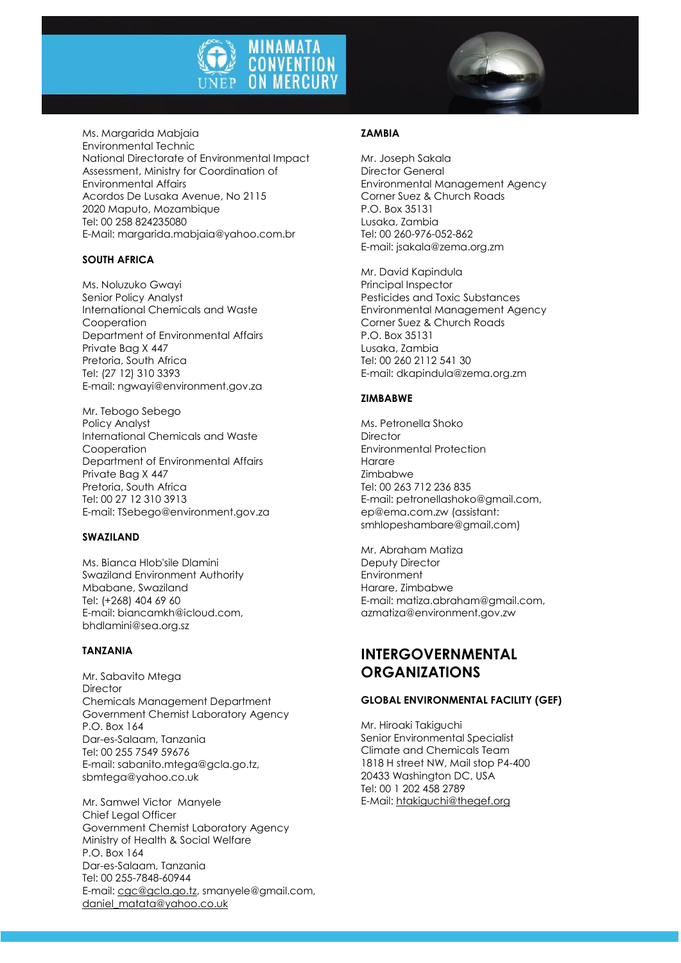

Ms. Margarida Mabjaia Environmental Technic National Directorate of Environmental Impact Assessment, Ministry for Coordination of Environmental Affairs Acordos De Lusaka Avenue, No 2115 2020 Maputo, Mozambique Tel: 00 258 824235080 E-Mail: [margarida.mabjaia@yahoo.com.br](mailto:margarida.mabjaia@yahoo.com.br)

#### **SOUTH AFRICA**

Ms. Noluzuko Gwayi Senior Policy Analyst International Chemicals and Waste Cooperation Department of Environmental Affairs Private Bag X 447 Pretoria, South Africa Tel: (27 12) 310 3393 E-mail: [ngwayi@environment.gov.za](mailto:ngwayi@environment.gov.za)

Mr. Tebogo Sebego Policy Analyst International Chemicals and Waste Cooperation Department of Environmental Affairs Private Bag X 447 Pretoria, South Africa Tel: 00 27 12 310 3913 E-mail: [TSebego@environment.gov.za](mailto:tsebego@environment.gov.za) 

#### **SWAZILAND**

Ms. Bianca Hlob'sile Dlamini Swaziland Environment Authority Mbabane, Swaziland Tel: (+268) 404 69 60 E-mail: [biancamkh@icloud.com,](mailto:seabiodiv@realnet.co.sz%20,mboni_dlamini@yahoo.co.uk)  [bhdlamini@sea.org.sz](mailto:seabiodiv@realnet.co.sz%20,mboni_dlamini@yahoo.co.uk) 

#### **TANZANIA**

Mr. Sabavito Mtega **Director** Chemicals Management Department Government Chemist Laboratory Agency P.O. Box 164 Dar-es-Salaam, Tanzania Tel: 00 255 7549 59676 E-mail: [sabanito.mtega@gcla.go.tz,](mailto:sabanito.mtega@gcla.go.tz,sbmtega@yahoo.co.uk,sbmtega@yohoo.co.uk,judith_aron@yahoo.com)  [sbmtega@yahoo.co.uk](mailto:sabanito.mtega@gcla.go.tz,sbmtega@yahoo.co.uk,sbmtega@yohoo.co.uk,judith_aron@yahoo.com)

Mr. Samwel Victor Manyele Chief Legal Officer Government Chemist Laboratory Agency Ministry of Health & Social Welfare P.O. Box 164 Dar-es-Salaam, Tanzania Tel: 00 255-7848-60944 E-mail: [cgc@gcla.go.tz,](mailto:cgc@gcla.go.tz) smanyele@gmail.com, [daniel\\_matata@yahoo.co.uk](mailto:daniel_matata@yahoo.co.uk)

### **ZAMBIA**

Mr. Joseph Sakala Director General Environmental Management Agency Corner Suez & Church Roads P.O. Box 35131 Lusaka, Zambia Tel: 00 260-976-052-862 E-mail[: jsakala@zema.org.zm](mailto:jsakala@zema.org.zm)

Mr. David Kapindula Principal Inspector Pesticides and Toxic Substances Environmental Management Agency Corner Suez & Church Roads P.O. Box 35131 Lusaka, Zambia Tel: 00 260 2112 541 30 E-mail[: dkapindula@zema.org.zm](mailto:dkapindula@zema.org.zm)

#### **ZIMBABWE**

Ms. Petronella Shoko **Director** Environmental Protection Harare Zimbabwe Tel: 00 263 712 236 835 E-mail: petronellashoko@gmail.com, ep@ema.com.zw (assistant: smhlopeshambare@gmail.com)

Mr. Abraham Matiza Deputy Director Environment Harare, Zimbabwe E-mail: matiza.abraham@gmail.com, azmatiza@environment.gov.zw

## **INTERGOVERNMENTAL ORGANIZATIONS**

#### **GLOBAL ENVIRONMENTAL FACILITY (GEF)**

Mr. Hiroaki Takiguchi Senior Environmental Specialist Climate and Chemicals Team 1818 H street NW, Mail stop P4-400 20433 Washington DC, USA Tel: 00 1 202 458 2789 E-Mail[: htakiguchi@thegef.org](mailto:htakiguchi@thegef.org)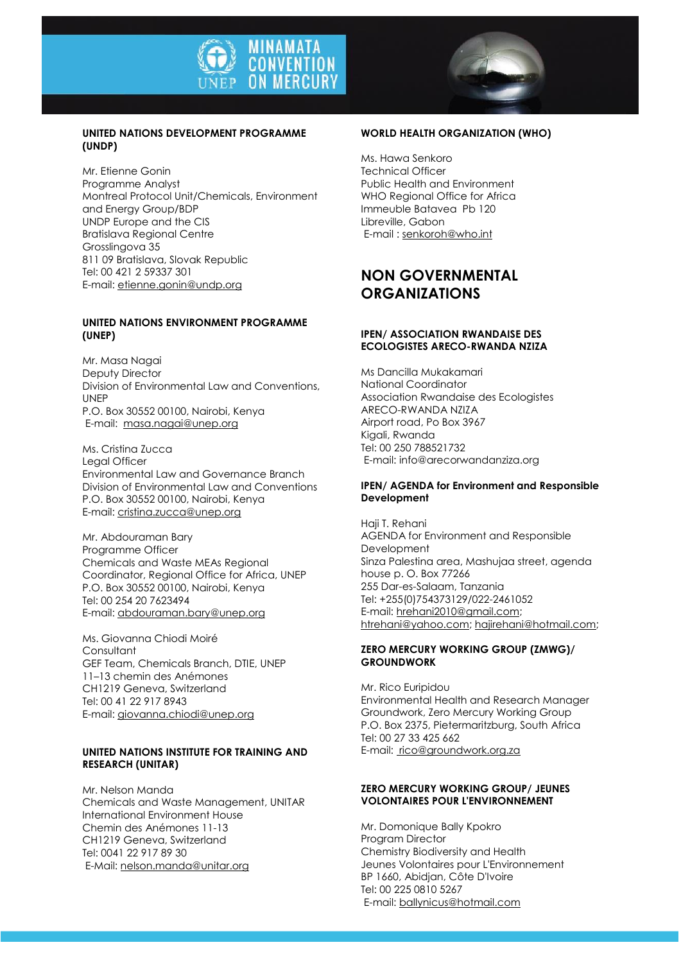

#### **UNITED NATIONS DEVELOPMENT PROGRAMME (UNDP)**

Mr. Etienne Gonin Programme Analyst Montreal Protocol Unit/Chemicals, Environment and Energy Group/BDP UNDP Europe and the CIS Bratislava Regional Centre Grosslingova 35 811 09 Bratislava, Slovak Republic Tel: 00 421 2 59337 301 E-mail: [etienne.gonin@undp.org](mailto:etienne.gonin@undp.org)

#### **UNITED NATIONS ENVIRONMENT PROGRAMME (UNEP)**

Mr. Masa Nagai Deputy Director Division of Environmental Law and Conventions, UNEP P.O. Box 30552 00100, Nairobi, Kenya E-mail: [masa.nagai@unep.org](mailto:masa.nagai@unep.org)

Ms. Cristina Zucca Legal Officer Environmental Law and Governance Branch Division of Environmental Law and Conventions P.O. Box 30552 00100, Nairobi, Kenya E-mail: [cristina.zucca@unep.org](mailto:cristina.zucca@unep.org)

Mr. Abdouraman Bary Programme Officer Chemicals and Waste MEAs Regional Coordinator, Regional Office for Africa, UNEP P.O. Box 30552 00100, Nairobi, Kenya Tel: 00 254 20 7623494 E-mail: [abdouraman.bary@unep.org](mailto:abdouraman.bary@unep.org)

Ms. Giovanna Chiodi Moiré **Consultant** GEF Team, Chemicals Branch, DTIE, UNEP 11–13 chemin des Anémones CH1219 Geneva, Switzerland Tel: 00 41 22 917 8943 E-mail: [giovanna.chiodi@unep.org](mailto:giovanna.chiodi@unep.org)

#### **UNITED NATIONS INSTITUTE FOR TRAINING AND RESEARCH (UNITAR)**

Mr. Nelson Manda Chemicals and Waste Management, UNITAR International Environment House Chemin des Anémones 11-13 CH1219 Geneva, Switzerland Tel: 0041 22 917 89 30 E-Mail: [nelson.manda@unitar.org](mailto:nelson.manda@unitar.org)

#### **WORLD HEALTH ORGANIZATION (WHO)**

Ms. Hawa Senkoro Technical Officer Public Health and Environment WHO Regional Office for Africa Immeuble Batavea Pb 120 Libreville, Gabon E-mail [: senkoroh@who.int](mailto:senkoroh@who.int)

# **NON GOVERNMENTAL ORGANIZATIONS**

#### **IPEN/ ASSOCIATION RWANDAISE DES ECOLOGISTES ARECO-RWANDA NZIZA**

Ms Dancilla Mukakamari National Coordinator Association Rwandaise des Ecologistes ARECO-RWANDA NZIZA Airport road, Po Box 3967 Kigali, Rwanda Tel: 00 250 788521732 E-mail: [info@arecorwandanziza.org](mailto:info@arecorwandanziza.org) 

#### **IPEN/ AGENDA for Environment and Responsible Development**

Haji T. Rehani AGENDA for Environment and Responsible Development Sinza Palestina area, Mashujaa street, agenda house p. O. Box 77266 255 Dar-es-Salaam, Tanzania Tel: +255(0)754373129/022-2461052 E-mail[: hrehani2010@gmail.com;](mailto:hrehani2010@gmail.com)  [htrehani@yahoo.com;](mailto:htrehani@yahoo.com) [hajirehani@hotmail.com;](mailto:hajirehani@hotmail.com)

#### **ZERO MERCURY WORKING GROUP (ZMWG)/ GROUNDWORK**

Mr. Rico Euripidou Environmental Health and Research Manager Groundwork, Zero Mercury Working Group P.O. Box 2375, Pietermaritzburg, South Africa Tel: 00 27 33 425 662 E-mail[: rico@groundwork.org.za](mailto:rico@groupwork.org.za)

#### **ZERO MERCURY WORKING GROUP/ JEUNES VOLONTAIRES POUR L'ENVIRONNEMENT**

Mr. Domonique Bally Kpokro Program Director Chemistry Biodiversity and Health Jeunes Volontaires pour L'Environnement BP 1660, Abidjan, Côte D'Ivoire Tel: 00 225 0810 5267 E-mail: [ballynicus@hotmail.com](mailto:ballynicus@hotmail.com)